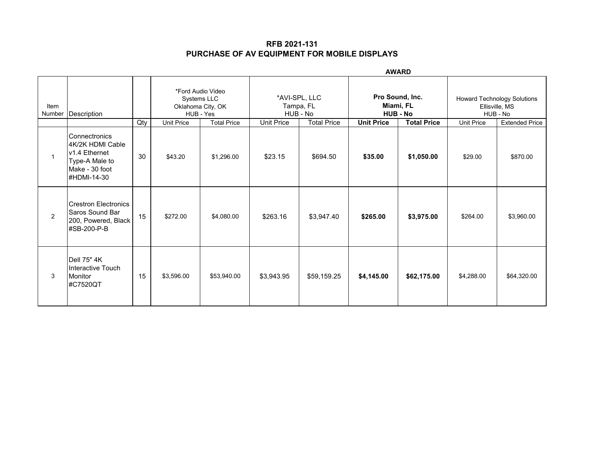|                |                                                                                                          | <b>AWARD</b> |                   |                                                                    |                                                      |                    |                                                 |                    |                                                                  |                       |
|----------------|----------------------------------------------------------------------------------------------------------|--------------|-------------------|--------------------------------------------------------------------|------------------------------------------------------|--------------------|-------------------------------------------------|--------------------|------------------------------------------------------------------|-----------------------|
| Item<br>Number | Description                                                                                              |              |                   | *Ford Audio Video<br>Systems LLC<br>Oklahoma City, OK<br>HUB - Yes | *AVI-SPL, LLC<br>Tampa, FL<br>HUB - No<br>Unit Price |                    | Pro Sound, Inc.<br>Miami, FL<br><b>HUB - No</b> |                    | <b>Howard Technology Solutions</b><br>Ellisville, MS<br>HUB - No |                       |
|                |                                                                                                          | Qty          | <b>Unit Price</b> | <b>Total Price</b>                                                 |                                                      | <b>Total Price</b> | <b>Unit Price</b>                               | <b>Total Price</b> | <b>Unit Price</b>                                                | <b>Extended Price</b> |
| 1              | l Connectronics<br>I4K/2K HDMI Cable<br>v1.4 Ethernet<br>Type-A Male to<br>Make - 30 foot<br>#HDMI-14-30 | 30           | \$43.20           | \$1,296.00                                                         | \$23.15                                              | \$694.50           | \$35.00                                         | \$1,050.00         | \$29.00                                                          | \$870.00              |
| $\overline{2}$ | Crestron Electronics<br>lSaros Sound Bar<br>200, Powered, Black<br>#SB-200-P-B                           | 15           | \$272.00          | \$4,080.00                                                         | \$263.16                                             | \$3,947.40         | \$265.00                                        | \$3,975.00         | \$264.00                                                         | \$3,960.00            |
| 3              | Dell 75" 4K<br>Interactive Touch<br>Monitor<br>#C7520QT                                                  | 15           | \$3,596.00        | \$53,940.00                                                        | \$3,943.95                                           | \$59,159.25        | \$4,145.00                                      | \$62,175.00        | \$4,288.00                                                       | \$64,320.00           |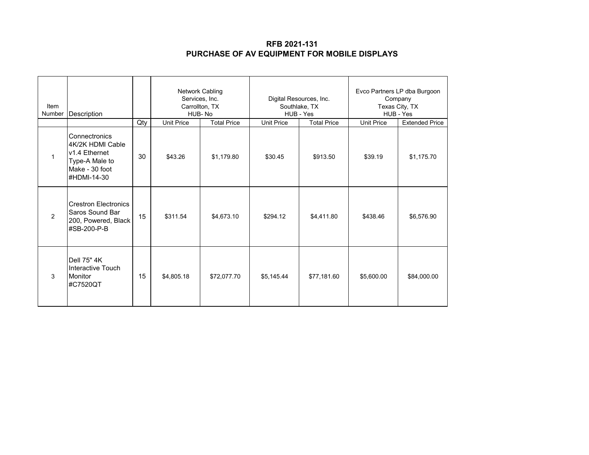| Item<br>Number | Description                                                                                           |     | Network Cabling<br>Services, Inc.<br>Carrollton, TX<br>HUB-No |             | Digital Resources, Inc.<br>Southlake, TX<br>HUB - Yes |                    | Evco Partners LP dba Burgoon<br>Company<br>Texas City, TX<br>HUB - Yes |                       |
|----------------|-------------------------------------------------------------------------------------------------------|-----|---------------------------------------------------------------|-------------|-------------------------------------------------------|--------------------|------------------------------------------------------------------------|-----------------------|
|                |                                                                                                       | Qty | <b>Unit Price</b><br><b>Total Price</b>                       |             | <b>Unit Price</b>                                     | <b>Total Price</b> | <b>Unit Price</b>                                                      | <b>Extended Price</b> |
|                | Connectronics<br>4K/2K HDMI Cable<br>v1.4 Ethernet<br>Type-A Male to<br>Make - 30 foot<br>#HDMI-14-30 | 30  | \$43.26                                                       | \$1,179.80  | \$30.45                                               | \$913.50           | \$39.19                                                                | \$1,175.70            |
| $\overline{2}$ | <b>Crestron Electronics</b><br>Saros Sound Bar<br>200, Powered, Black<br>#SB-200-P-B                  | 15  | \$311.54                                                      | \$4,673.10  | \$294.12                                              | \$4,411.80         | \$438.46                                                               | \$6,576.90            |
| 3              | Dell 75" 4K<br>Interactive Touch<br><b>Monitor</b><br>#C7520QT                                        | 15  | \$4,805.18                                                    | \$72,077.70 | \$5,145.44                                            | \$77,181.60        | \$5,600.00                                                             | \$84,000.00           |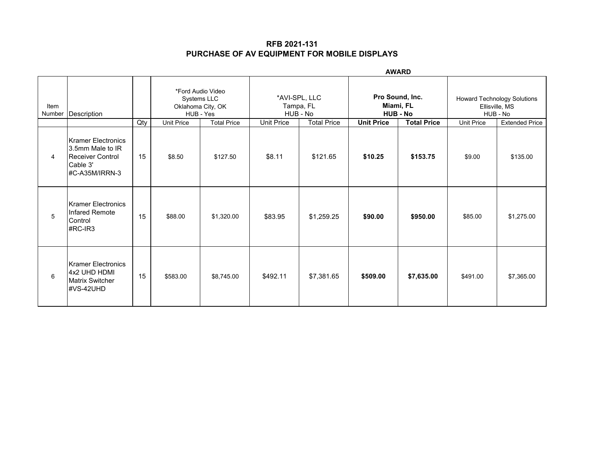|                |                                                                                          |     |                   |                                                                    | <b>AWARD</b> |                                                       |          |                                                 |                   |                                                           |  |
|----------------|------------------------------------------------------------------------------------------|-----|-------------------|--------------------------------------------------------------------|--------------|-------------------------------------------------------|----------|-------------------------------------------------|-------------------|-----------------------------------------------------------|--|
| Item<br>Number | Description                                                                              |     |                   | *Ford Audio Video<br>Systems LLC<br>Oklahoma City, OK<br>HUB - Yes |              | *AVI-SPL, LLC<br>Tampa, FL<br>HUB - No                |          | Pro Sound, Inc.<br>Miami, FL<br><b>HUB - No</b> |                   | Howard Technology Solutions<br>Ellisville, MS<br>HUB - No |  |
|                |                                                                                          | Qty | <b>Unit Price</b> | <b>Total Price</b>                                                 |              | Unit Price<br><b>Total Price</b><br><b>Unit Price</b> |          | <b>Total Price</b>                              | <b>Unit Price</b> | <b>Extended Price</b>                                     |  |
| 4              | Kramer Electronics<br>3.5mm Male to IR<br>Receiver Control<br>Cable 3'<br>#C-A35M/IRRN-3 | 15  | \$8.50            | \$127.50                                                           | \$8.11       | \$121.65                                              | \$10.25  | \$153.75                                        | \$9.00            | \$135.00                                                  |  |
| 5              | <b>Kramer Electronics</b><br>Infared Remote<br>Control<br>$\#RC$ -IR3                    | 15  | \$88.00           | \$1,320.00                                                         | \$83.95      | \$1,259.25                                            | \$90.00  | \$950.00                                        | \$85.00           | \$1,275.00                                                |  |
| 6              | Kramer Electronics<br>4x2 UHD HDMI<br><b>Matrix Switcher</b><br>#VS-42UHD                | 15  | \$583.00          | \$8,745.00                                                         | \$492.11     | \$7,381.65                                            | \$509.00 | \$7,635.00                                      | \$491.00          | \$7,365.00                                                |  |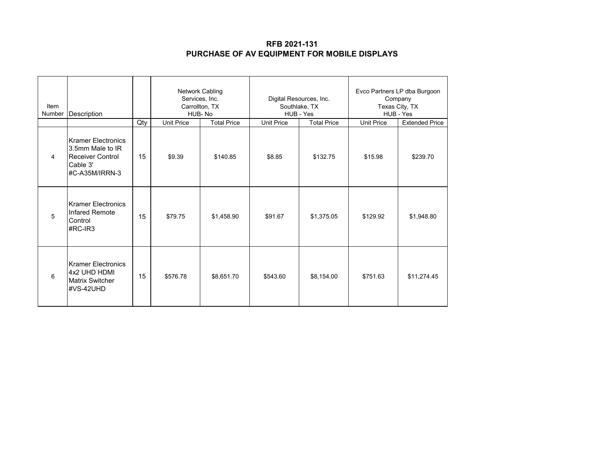| Item<br>Number | Description                                                                                            |     | Network Cabling<br>Services, Inc.<br>Carrollton, TX<br>HUB-No |            | Digital Resources, Inc.<br>Southlake, TX<br>HUB - Yes |                    | Evco Partners LP dba Burgoon<br>Company<br>Texas City, TX<br>HUB - Yes |                       |
|----------------|--------------------------------------------------------------------------------------------------------|-----|---------------------------------------------------------------|------------|-------------------------------------------------------|--------------------|------------------------------------------------------------------------|-----------------------|
|                |                                                                                                        | Qty | <b>Unit Price</b><br><b>Total Price</b>                       |            | <b>Unit Price</b>                                     | <b>Total Price</b> | <b>Unit Price</b>                                                      | <b>Extended Price</b> |
| 4              | <b>Kramer Electronics</b><br>3.5mm Male to IR<br><b>Receiver Control</b><br>Cable 3'<br>#C-A35M/IRRN-3 | 15  | \$9.39                                                        | \$140.85   | \$8.85                                                | \$132.75           | \$15.98                                                                | \$239.70              |
| 5              | Kramer Electronics<br>Infared Remote<br>Control<br>#RC-IR3                                             | 15  | \$79.75                                                       | \$1,458.90 | \$91.67                                               | \$1,375.05         | \$129.92                                                               | \$1,948.80            |
| 6              | <b>Kramer Electronics</b><br>4x2 UHD HDMI<br><b>Matrix Switcher</b><br>#VS-42UHD                       | 15  | \$576.78                                                      | \$8,651.70 | \$543.60                                              | \$8,154.00         | \$751.63                                                               | \$11,274.45           |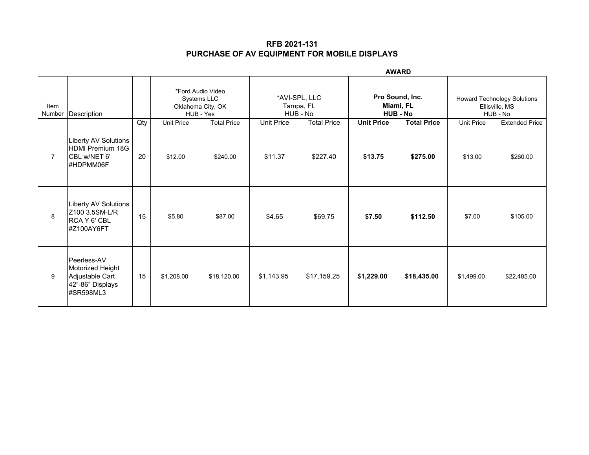| <b>AWARD</b>   |                                                                                     |     |                   |                                                                    |                                        |                                                       |                                                 |                    |                                                           |                       |
|----------------|-------------------------------------------------------------------------------------|-----|-------------------|--------------------------------------------------------------------|----------------------------------------|-------------------------------------------------------|-------------------------------------------------|--------------------|-----------------------------------------------------------|-----------------------|
| Item<br>Number | Description                                                                         |     |                   | *Ford Audio Video<br>Systems LLC<br>Oklahoma City, OK<br>HUB - Yes | *AVI-SPL, LLC<br>Tampa, FL<br>HUB - No |                                                       | Pro Sound, Inc.<br>Miami, FL<br><b>HUB - No</b> |                    | Howard Technology Solutions<br>Ellisville, MS<br>HUB - No |                       |
|                |                                                                                     | Qty | <b>Unit Price</b> | <b>Total Price</b>                                                 |                                        | Unit Price<br><b>Total Price</b><br><b>Unit Price</b> |                                                 | <b>Total Price</b> | <b>Unit Price</b>                                         | <b>Extended Price</b> |
| $\overline{7}$ | <b>Liberty AV Solutions</b><br><b>HDMI Premium 18G</b><br>CBL w/NET 6'<br>#HDPMM06F | 20  | \$12.00           | \$240.00                                                           | \$11.37                                | \$227.40                                              | \$13.75                                         | \$275.00           | \$13.00                                                   | \$260.00              |
| 8              | <b>Liberty AV Solutions</b><br>Z100 3.5SM-L/R<br>RCA Y 6' CBL<br>#Z100AY6FT         | 15  | \$5.80            | \$87.00                                                            | \$4.65                                 | \$69.75                                               | \$7.50                                          | \$112.50           | \$7.00                                                    | \$105.00              |
| 9              | Peerless-AV<br>Motorized Height<br>Adjustable Cart<br>42"-86" Displays<br>#SR598ML3 | 15  | \$1,208.00        | \$18,120.00                                                        | \$1,143.95                             | \$17,159.25                                           | \$1,229.00                                      | \$18,435.00        | \$1,499.00                                                | \$22,485.00           |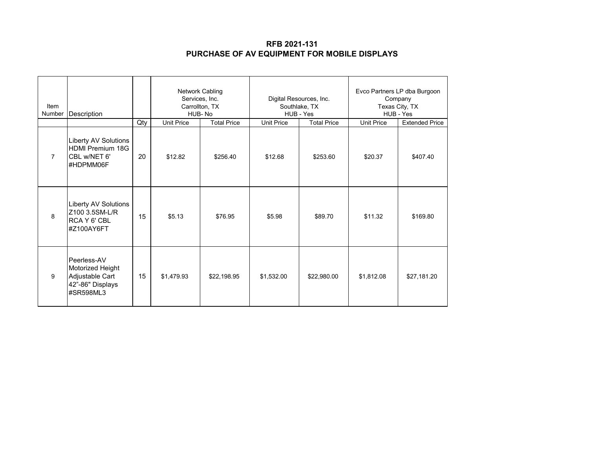| Item<br>Number | <b>Description</b>                                                                  |     | Network Cabling<br>Services, Inc.<br>Carrollton, TX<br>HUB-No |             | Digital Resources, Inc.<br>Southlake, TX<br>HUB - Yes |                    | Evco Partners LP dba Burgoon<br>Company<br>Texas City, TX<br>HUB - Yes |                       |
|----------------|-------------------------------------------------------------------------------------|-----|---------------------------------------------------------------|-------------|-------------------------------------------------------|--------------------|------------------------------------------------------------------------|-----------------------|
|                |                                                                                     | Qty | <b>Unit Price</b><br><b>Total Price</b>                       |             | <b>Unit Price</b>                                     | <b>Total Price</b> | <b>Unit Price</b>                                                      | <b>Extended Price</b> |
| $\overline{7}$ | Liberty AV Solutions<br><b>HDMI Premium 18G</b><br>CBL w/NET 6'<br>#HDPMM06F        | 20  | \$12.82                                                       | \$256.40    | \$12.68                                               | \$253.60           | \$20.37                                                                | \$407.40              |
| 8              | <b>Liberty AV Solutions</b><br>Z100 3.5SM-L/R<br>RCA Y 6' CBL<br>#Z100AY6FT         | 15  | \$5.13                                                        | \$76.95     | \$5.98                                                | \$89.70            | \$11.32                                                                | \$169.80              |
| 9              | Peerless-AV<br>Motorized Height<br>Adjustable Cart<br>42"-86" Displays<br>#SR598ML3 | 15  | \$1,479.93                                                    | \$22,198.95 | \$1,532.00                                            | \$22,980.00        | \$1,812.08                                                             | \$27,181.20           |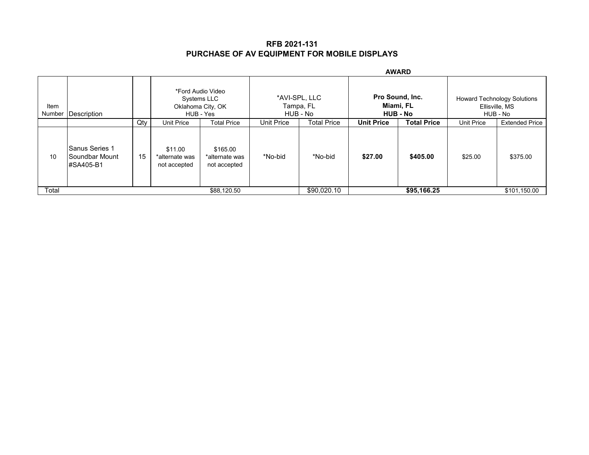|                |                                                 | <b>AWARD</b> |                                           |                                            |         |                                        |                   |                                                 |                                                                  |                       |
|----------------|-------------------------------------------------|--------------|-------------------------------------------|--------------------------------------------|---------|----------------------------------------|-------------------|-------------------------------------------------|------------------------------------------------------------------|-----------------------|
| Item<br>Number | Description                                     |              | Oklahoma City, OK<br>HUB - Yes            | *Ford Audio Video<br>Systems LLC           |         | *AVI-SPL, LLC<br>Tampa, FL<br>HUB - No |                   | Pro Sound, Inc.<br>Miami, FL<br><b>HUB - No</b> | <b>Howard Technology Solutions</b><br>Ellisville, MS<br>HUB - No |                       |
|                |                                                 | Qty          | Unit Price                                | Unit Price<br><b>Total Price</b>           |         | <b>Total Price</b>                     | <b>Unit Price</b> | <b>Total Price</b>                              | <b>Unit Price</b>                                                | <b>Extended Price</b> |
| 10             | lSanus Series 1<br>lSoundbar Mount<br>#SA405-B1 | 15           | \$11.00<br>*alternate was<br>not accepted | \$165.00<br>*alternate was<br>not accepted | *No-bid | *No-bid                                | \$27.00           | \$405.00                                        | \$25.00                                                          | \$375.00              |
| Total          |                                                 |              |                                           | \$88,120.50                                |         | \$90,020.10                            |                   | \$95,166.25                                     |                                                                  | \$101,150.00          |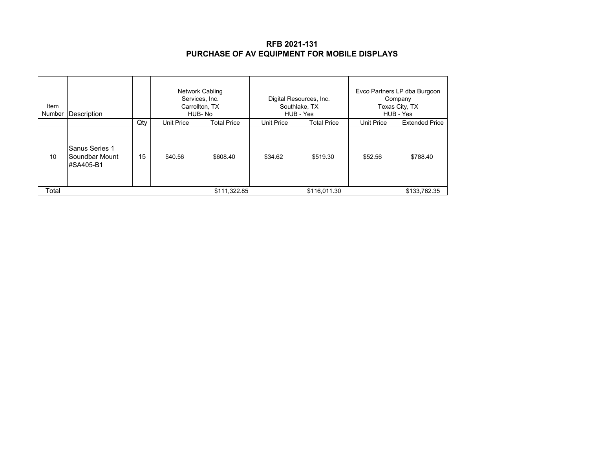| Item<br>Number | Description                                   |     | Network Cabling<br>Services, Inc.<br>Carrollton, TX<br>HUB-No |                    |                   | Digital Resources, Inc.<br>Southlake, TX<br>HUB - Yes | Evco Partners LP dba Burgoon<br>Company<br>Texas City, TX<br>HUB - Yes |                       |
|----------------|-----------------------------------------------|-----|---------------------------------------------------------------|--------------------|-------------------|-------------------------------------------------------|------------------------------------------------------------------------|-----------------------|
|                |                                               | Qty | Unit Price                                                    | <b>Total Price</b> | <b>Unit Price</b> | <b>Total Price</b>                                    | <b>Unit Price</b>                                                      | <b>Extended Price</b> |
| 10             | Sanus Series 1<br>Soundbar Mount<br>#SA405-B1 | 15  | \$40.56                                                       | \$608.40           | \$34.62           | \$519.30                                              | \$52.56                                                                | \$788.40              |
| Total          |                                               |     |                                                               | \$111,322.85       |                   | \$116,011.30                                          |                                                                        | \$133,762.35          |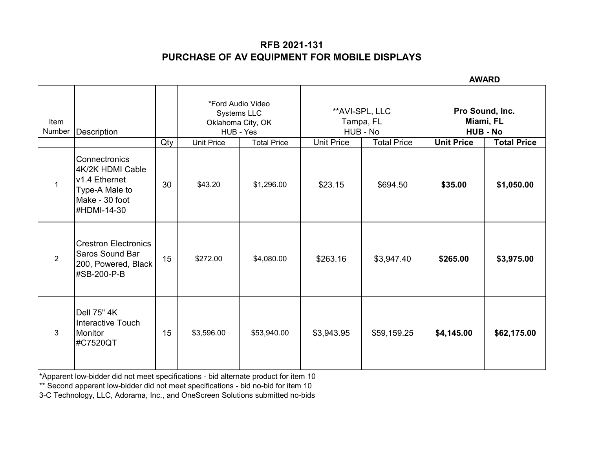**AWARD**

|                |                                                                                                       |     |                                                                             |             |                                          |                    | лилч                                            |             |
|----------------|-------------------------------------------------------------------------------------------------------|-----|-----------------------------------------------------------------------------|-------------|------------------------------------------|--------------------|-------------------------------------------------|-------------|
| Item<br>Number | Description                                                                                           |     | *Ford Audio Video<br>Systems LLC<br>Oklahoma City, OK<br>HUB - Yes          |             | ** AVI-SPL, LLC<br>Tampa, FL<br>HUB - No |                    | Pro Sound, Inc.<br>Miami, FL<br><b>HUB - No</b> |             |
|                |                                                                                                       | Qty | <b>Total Price</b><br><b>Total Price</b><br><b>Unit Price</b><br>Unit Price |             | <b>Unit Price</b>                        | <b>Total Price</b> |                                                 |             |
| $\mathbf{1}$   | Connectronics<br>4K/2K HDMI Cable<br>v1.4 Ethernet<br>Type-A Male to<br>Make - 30 foot<br>#HDMI-14-30 | 30  | \$43.20                                                                     | \$1,296.00  | \$23.15                                  | \$694.50           | \$35.00                                         | \$1,050.00  |
| $\overline{2}$ | <b>Crestron Electronics</b><br>Saros Sound Bar<br>200, Powered, Black<br>#SB-200-P-B                  | 15  | \$272.00                                                                    | \$4,080.00  | \$263.16                                 | \$3,947.40         | \$265.00                                        | \$3,975.00  |
| $\mathbf{3}$   | <b>Dell 75" 4K</b><br>Interactive Touch<br><b>Monitor</b><br>#C7520QT                                 | 15  | \$3,596.00                                                                  | \$53,940.00 | \$3,943.95                               | \$59,159.25        | \$4,145.00                                      | \$62,175.00 |

\*Apparent low-bidder did not meet specifications - bid alternate product for item 10

\*\* Second apparent low-bidder did not meet specifications - bid no-bid for item 10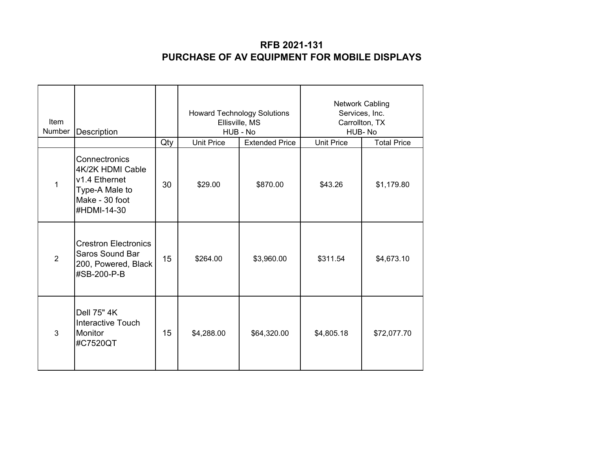| Item<br>Number | Description                                                                                           |     | Ellisville, MS<br>HUB - No | <b>Howard Technology Solutions</b> | <b>Network Cabling</b><br>Services, Inc.<br>Carrollton, TX<br>HUB-No |                    |  |
|----------------|-------------------------------------------------------------------------------------------------------|-----|----------------------------|------------------------------------|----------------------------------------------------------------------|--------------------|--|
|                |                                                                                                       | Qty | <b>Unit Price</b>          | <b>Extended Price</b>              | <b>Unit Price</b>                                                    | <b>Total Price</b> |  |
| $\mathbf 1$    | Connectronics<br>4K/2K HDMI Cable<br>v1.4 Ethernet<br>Type-A Male to<br>Make - 30 foot<br>#HDMI-14-30 | 30  | \$29.00                    | \$870.00                           | \$43.26                                                              | \$1,179.80         |  |
| $\overline{2}$ | <b>Crestron Electronics</b><br>Saros Sound Bar<br>200, Powered, Black<br>#SB-200-P-B                  | 15  | \$264.00                   | \$3,960.00                         | \$311.54                                                             | \$4,673.10         |  |
| 3              | Dell 75" 4K<br><b>Interactive Touch</b><br><b>Monitor</b><br>#C7520QT                                 | 15  | \$4,288.00                 | \$64,320.00                        | \$4,805.18                                                           | \$72,077.70        |  |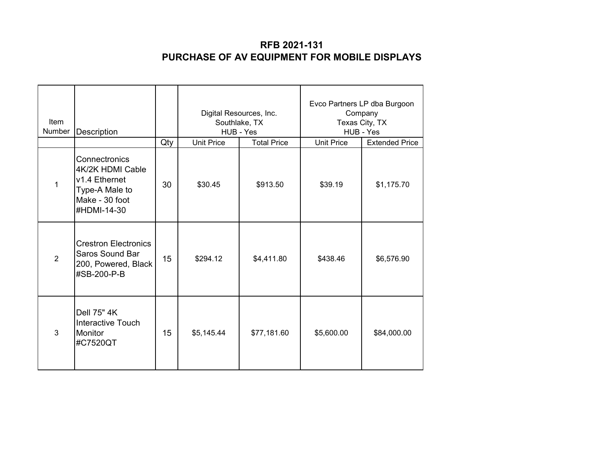| <b>Item</b><br>Number | Description                                                                                           |     | HUB - Yes         | Digital Resources, Inc.<br>Southlake, TX | Evco Partners LP dba Burgoon<br>Company<br>Texas City, TX<br>HUB - Yes |                       |  |
|-----------------------|-------------------------------------------------------------------------------------------------------|-----|-------------------|------------------------------------------|------------------------------------------------------------------------|-----------------------|--|
|                       |                                                                                                       | Qty | <b>Unit Price</b> | <b>Total Price</b>                       | <b>Unit Price</b>                                                      | <b>Extended Price</b> |  |
| 1                     | Connectronics<br>4K/2K HDMI Cable<br>v1.4 Ethernet<br>Type-A Male to<br>Make - 30 foot<br>#HDMI-14-30 | 30  | \$30.45           | \$913.50                                 | \$39.19                                                                | \$1,175.70            |  |
| 2                     | <b>Crestron Electronics</b><br><b>Saros Sound Bar</b><br>200, Powered, Black<br>#SB-200-P-B           | 15  | \$294.12          | \$4,411.80                               | \$438.46                                                               | \$6,576.90            |  |
| 3                     | Dell 75" 4K<br><b>Interactive Touch</b><br><b>Monitor</b><br>#C7520QT                                 | 15  | \$5,145.44        | \$77,181.60                              | \$5,600.00                                                             | \$84,000.00           |  |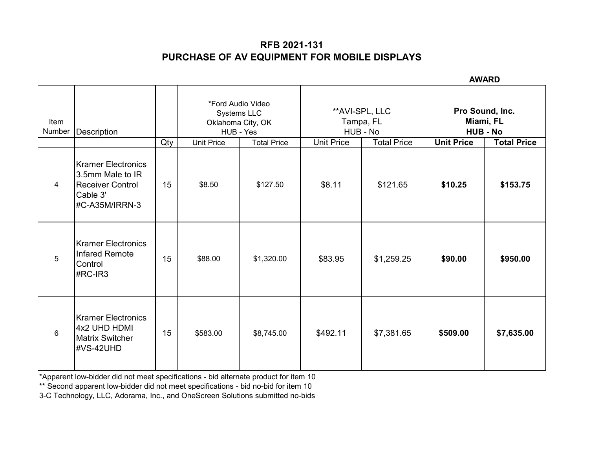**AWARD**

|                |                                                                                                          |     |                                                                    |                    |                   |                                          | лшч                                             |                    |  |
|----------------|----------------------------------------------------------------------------------------------------------|-----|--------------------------------------------------------------------|--------------------|-------------------|------------------------------------------|-------------------------------------------------|--------------------|--|
| Item<br>Number | Description                                                                                              |     | *Ford Audio Video<br>Systems LLC<br>Oklahoma City, OK<br>HUB - Yes |                    |                   | ** AVI-SPL, LLC<br>Tampa, FL<br>HUB - No | Pro Sound, Inc.<br>Miami, FL<br><b>HUB - No</b> |                    |  |
|                |                                                                                                          | Qty | <b>Unit Price</b>                                                  | <b>Total Price</b> | <b>Unit Price</b> | <b>Total Price</b>                       | <b>Unit Price</b>                               | <b>Total Price</b> |  |
| $\overline{4}$ | <b>I</b> Kramer Electronics<br>3.5mm Male to IR<br><b>Receiver Control</b><br>Cable 3'<br>#C-A35M/IRRN-3 | 15  | \$8.50                                                             | \$127.50           | \$8.11            | \$121.65                                 | \$10.25                                         | \$153.75           |  |
| 5              | Kramer Electronics<br>Infared Remote<br>Control<br>#RC-IR3                                               | 15  | \$88.00                                                            | \$1,320.00         | \$83.95           | \$1,259.25                               | \$90.00                                         | \$950.00           |  |
| $\,6\,$        | Kramer Electronics<br>4x2 UHD HDMI<br><b>Matrix Switcher</b><br>#VS-42UHD                                | 15  | \$583.00                                                           | \$8,745.00         | \$492.11          | \$7,381.65                               | \$509.00                                        | \$7,635.00         |  |

\*Apparent low-bidder did not meet specifications - bid alternate product for item 10

\*\* Second apparent low-bidder did not meet specifications - bid no-bid for item 10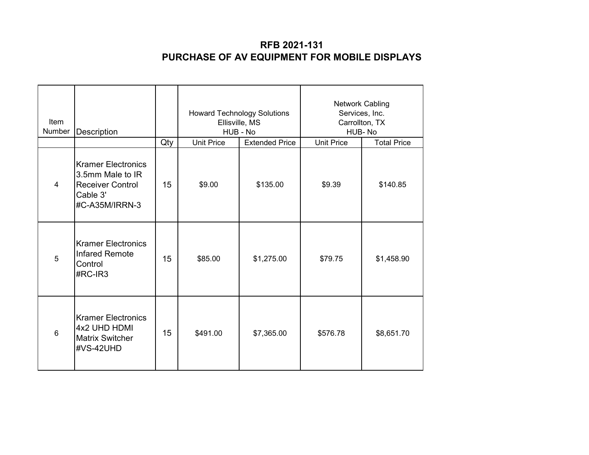| Item<br>Number | Description                                                                                            |     | <b>Howard Technology Solutions</b><br>Ellisville, MS<br>HUB - No |                       | <b>Network Cabling</b><br>Services, Inc.<br>Carrollton, TX<br>HUB-No |                    |
|----------------|--------------------------------------------------------------------------------------------------------|-----|------------------------------------------------------------------|-----------------------|----------------------------------------------------------------------|--------------------|
|                |                                                                                                        | Qty | <b>Unit Price</b>                                                | <b>Extended Price</b> | <b>Unit Price</b>                                                    | <b>Total Price</b> |
| $\overline{4}$ | <b>Kramer Electronics</b><br>3.5mm Male to IR<br><b>Receiver Control</b><br>Cable 3'<br>#C-A35M/IRRN-3 | 15  | \$9.00                                                           | \$135.00              | \$9.39                                                               | \$140.85           |
| 5              | <b>Kramer Electronics</b><br><b>Infared Remote</b><br>Control<br>#RC-IR3                               | 15  | \$85.00                                                          | \$1,275.00            | \$79.75                                                              | \$1,458.90         |
| $6\phantom{a}$ | <b>Kramer Electronics</b><br>4x2 UHD HDMI<br><b>Matrix Switcher</b><br>#VS-42UHD                       | 15  | \$491.00                                                         | \$7,365.00            | \$576.78                                                             | \$8,651.70         |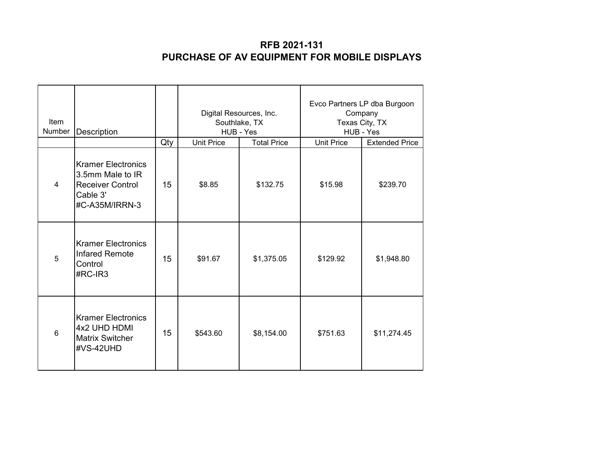| Item<br>Number | Description                                                                                            |     | Digital Resources, Inc.<br>Southlake, TX<br>HUB - Yes |                    | Evco Partners LP dba Burgoon<br>Company<br>Texas City, TX<br>HUB - Yes |                       |
|----------------|--------------------------------------------------------------------------------------------------------|-----|-------------------------------------------------------|--------------------|------------------------------------------------------------------------|-----------------------|
|                |                                                                                                        | Qty | <b>Unit Price</b>                                     | <b>Total Price</b> | <b>Unit Price</b>                                                      | <b>Extended Price</b> |
| 4              | <b>Kramer Electronics</b><br>3.5mm Male to IR<br><b>Receiver Control</b><br>Cable 3'<br>#C-A35M/IRRN-3 | 15  | \$8.85                                                | \$132.75           | \$15.98                                                                | \$239.70              |
| 5              | <b>Kramer Electronics</b><br><b>Infared Remote</b><br>Control<br>#RC-IR3                               | 15  | \$91.67                                               | \$1,375.05         | \$129.92                                                               | \$1,948.80            |
| 6              | <b>Kramer Electronics</b><br>4x2 UHD HDMI<br><b>Matrix Switcher</b><br>#VS-42UHD                       | 15  | \$543.60                                              | \$8,154.00         | \$751.63                                                               | \$11,274.45           |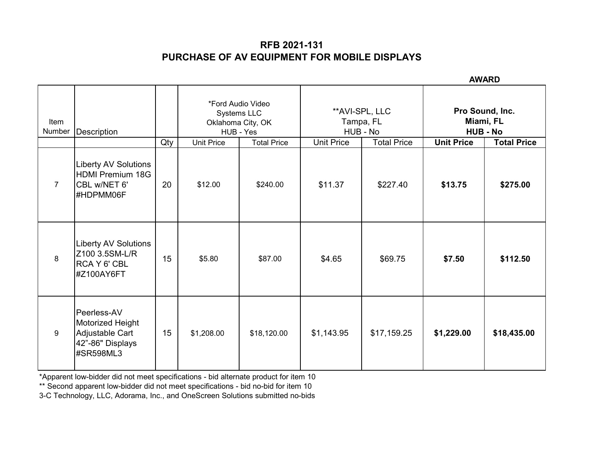**AWARD**

| Item<br>Number | Description                                                                         |     | *Ford Audio Video<br>Systems LLC<br>Oklahoma City, OK<br>HUB - Yes |                    | **AVI-SPL, LLC<br>Tampa, FL<br>HUB - No |                    | Pro Sound, Inc.<br>Miami, FL<br><b>HUB - No</b> |                    |
|----------------|-------------------------------------------------------------------------------------|-----|--------------------------------------------------------------------|--------------------|-----------------------------------------|--------------------|-------------------------------------------------|--------------------|
|                |                                                                                     | Qty | <b>Unit Price</b>                                                  | <b>Total Price</b> | <b>Unit Price</b>                       | <b>Total Price</b> | <b>Unit Price</b>                               | <b>Total Price</b> |
| $\overline{7}$ | <b>Liberty AV Solutions</b><br><b>HDMI Premium 18G</b><br>CBL w/NET 6'<br>#HDPMM06F | 20  | \$12.00                                                            | \$240.00           | \$11.37                                 | \$227.40           | \$13.75                                         | \$275.00           |
| 8              | <b>Liberty AV Solutions</b><br>Z100 3.5SM-L/R<br>RCA Y 6' CBL<br>#Z100AY6FT         | 15  | \$5.80                                                             | \$87.00            | \$4.65                                  | \$69.75            | \$7.50                                          | \$112.50           |
| 9              | Peerless-AV<br>Motorized Height<br>Adjustable Cart<br>42"-86" Displays<br>#SR598ML3 | 15  | \$1,208.00                                                         | \$18,120.00        | \$1,143.95                              | \$17,159.25        | \$1,229.00                                      | \$18,435.00        |

\*Apparent low-bidder did not meet specifications - bid alternate product for item 10

\*\* Second apparent low-bidder did not meet specifications - bid no-bid for item 10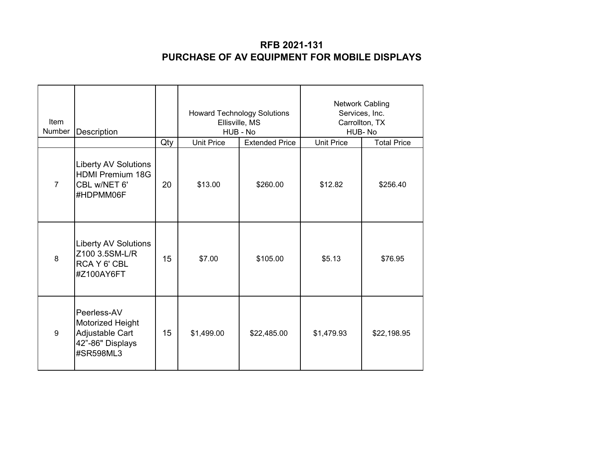| Item<br>Number | Description                                                                         |     | <b>Howard Technology Solutions</b><br>Ellisville, MS<br>HUB - No |                       | <b>Network Cabling</b><br>Services, Inc.<br>Carrollton, TX<br>HUB-No |                    |
|----------------|-------------------------------------------------------------------------------------|-----|------------------------------------------------------------------|-----------------------|----------------------------------------------------------------------|--------------------|
|                |                                                                                     | Qty | <b>Unit Price</b>                                                | <b>Extended Price</b> | <b>Unit Price</b>                                                    | <b>Total Price</b> |
| $\overline{7}$ | <b>Liberty AV Solutions</b><br><b>HDMI Premium 18G</b><br>CBL w/NET 6'<br>#HDPMM06F | 20  | \$13.00                                                          | \$260.00              | \$12.82                                                              | \$256.40           |
| 8              | <b>Liberty AV Solutions</b><br>Z100 3.5SM-L/R<br>RCA Y 6' CBL<br>#Z100AY6FT         | 15  | \$7.00                                                           | \$105.00              | \$5.13                                                               | \$76.95            |
| 9              | Peerless-AV<br>Motorized Height<br>Adjustable Cart<br>42"-86" Displays<br>#SR598ML3 | 15  | \$1,499.00                                                       | \$22,485.00           | \$1,479.93                                                           | \$22,198.95        |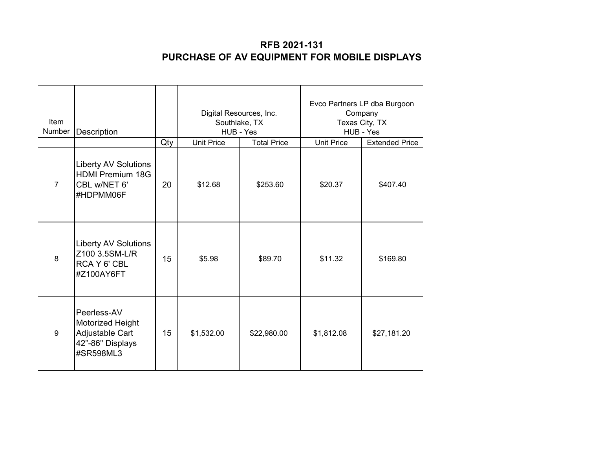| Item<br>Number | Description                                                                         |     | Digital Resources, Inc.<br>Southlake, TX<br>HUB - Yes |                    | Evco Partners LP dba Burgoon<br>Company<br>Texas City, TX<br>HUB - Yes |                       |
|----------------|-------------------------------------------------------------------------------------|-----|-------------------------------------------------------|--------------------|------------------------------------------------------------------------|-----------------------|
|                |                                                                                     | Qty | <b>Unit Price</b>                                     | <b>Total Price</b> | <b>Unit Price</b>                                                      | <b>Extended Price</b> |
| $\overline{7}$ | <b>Liberty AV Solutions</b><br><b>HDMI Premium 18G</b><br>CBL w/NET 6'<br>#HDPMM06F | 20  | \$12.68                                               | \$253.60           | \$20.37                                                                | \$407.40              |
| 8              | <b>Liberty AV Solutions</b><br>Z100 3.5SM-L/R<br>RCA Y 6' CBL<br>#Z100AY6FT         | 15  | \$5.98                                                | \$89.70            | \$11.32                                                                | \$169.80              |
| 9              | Peerless-AV<br>Motorized Height<br>Adjustable Cart<br>42"-86" Displays<br>#SR598ML3 | 15  | \$1,532.00                                            | \$22,980.00        | \$1,812.08                                                             | \$27,181.20           |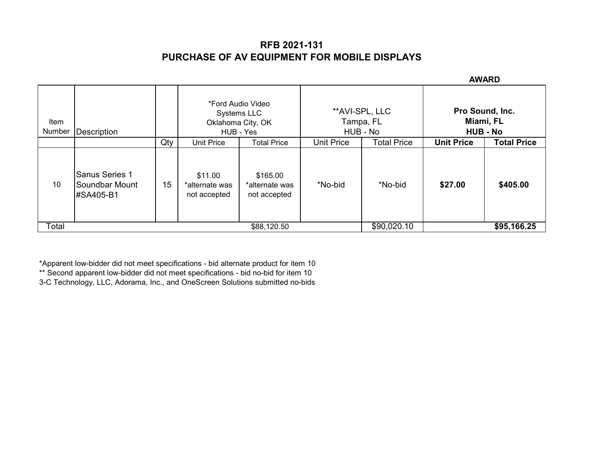**AWARD**

|                |                                                             |     |                                               |                                            |                   |                             |                                                 | <b>AVVARD</b>      |  |
|----------------|-------------------------------------------------------------|-----|-----------------------------------------------|--------------------------------------------|-------------------|-----------------------------|-------------------------------------------------|--------------------|--|
| Item<br>Number | Description                                                 |     | *Ford Audio Video<br>Systems LLC<br>HUB - Yes | Oklahoma City, OK                          | HUB - No          | **AVI-SPL, LLC<br>Tampa, FL | Pro Sound, Inc.<br>Miami, FL<br><b>HUB - No</b> |                    |  |
|                |                                                             | Qty | Unit Price                                    | <b>Total Price</b>                         | <b>Unit Price</b> | <b>Total Price</b>          | <b>Unit Price</b>                               | <b>Total Price</b> |  |
| 10             | <b>Sanus Series 1</b><br><b>Soundbar Mount</b><br>#SA405-B1 | 15  | \$11.00<br>*alternate was<br>not accepted     | \$165.00<br>*alternate was<br>not accepted | *No-bid           | *No-bid                     | \$27.00                                         | \$405.00           |  |
| Total          |                                                             |     |                                               | \$88,120.50                                |                   | \$90,020.10                 |                                                 | \$95,166.25        |  |

\*Apparent low-bidder did not meet specifications - bid alternate product for item 10

\*\* Second apparent low-bidder did not meet specifications - bid no-bid for item 10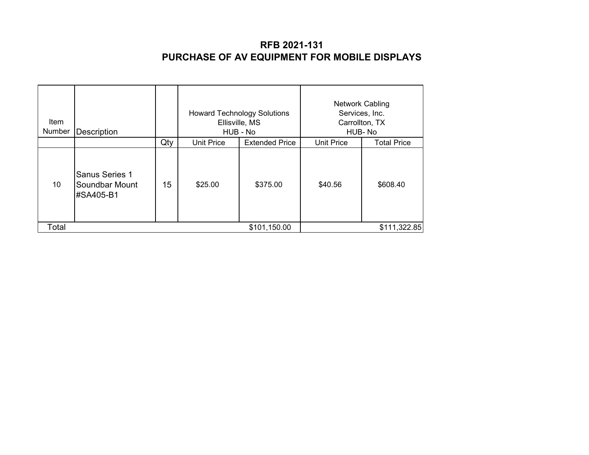| <b>Item</b><br>Number | <b>Description</b>                                   |     |            | <b>Howard Technology Solutions</b><br>Ellisville, MS<br>HUB - No | <b>Network Cabling</b><br>Services, Inc.<br>HUB-No | Carrollton, TX     |
|-----------------------|------------------------------------------------------|-----|------------|------------------------------------------------------------------|----------------------------------------------------|--------------------|
|                       |                                                      | Qty | Unit Price | <b>Extended Price</b>                                            | <b>Unit Price</b>                                  | <b>Total Price</b> |
| 10                    | <b>Sanus Series 1</b><br>Soundbar Mount<br>#SA405-B1 | 15  | \$25.00    | \$375.00                                                         | \$40.56                                            | \$608.40           |
| Total                 |                                                      |     |            | \$101,150.00                                                     |                                                    | \$111,322.85       |